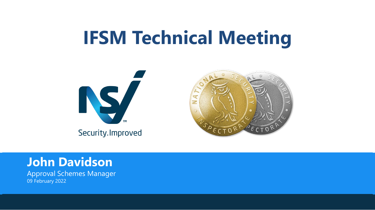## **IFSM Technical Meeting**







Approval Schemes Manager 09 February 2022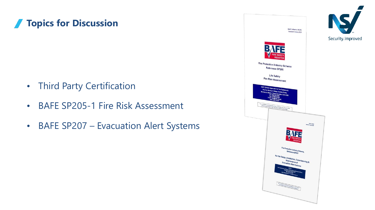#### **Topics for Discussion**

- Third Party Certification
- BAFE SP205-1 Fire Risk Assessment
- BAFE SP207 Evacuation Alert Systems

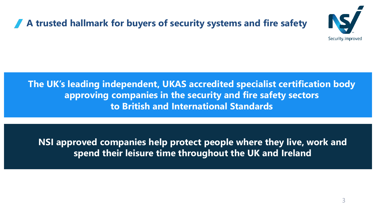#### **A trusted hallmark for buyers of security systems and fire safety**



**The UK's leading independent, UKAS accredited specialist certification body approving companies in the security and fire safety sectors to British and International Standards**

**NSI approved companies help protect people where they live, work and spend their leisure time throughout the UK and Ireland**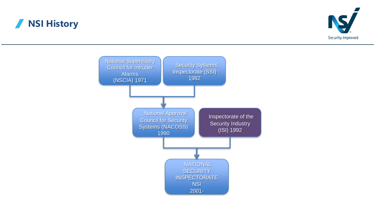#### **NSI History**



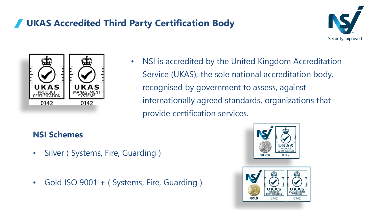#### **UKAS Accredited Third Party Certification Body**





• NSI is accredited by the United Kingdom Accreditation Service (UKAS), the sole national accreditation body, recognised by government to assess, against internationally agreed standards, organizations that provide certification services.

#### **NSI Schemes**

- Silver ( Systems, Fire, Guarding )
- Gold ISO 9001 + (Systems, Fire, Guarding)



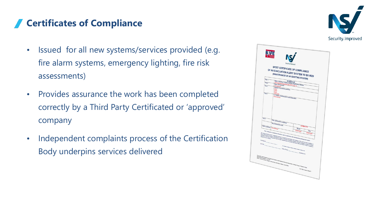#### **Certificates of Compliance**

- Issued for all new systems/services provided (e.g. fire alarm systems, emergency lighting, fire risk assessments)
- Provides assurance the work has been completed correctly by a Third Party Certificated or 'approved' company
- Independent complaints process of the Certification Body underpins services delivered



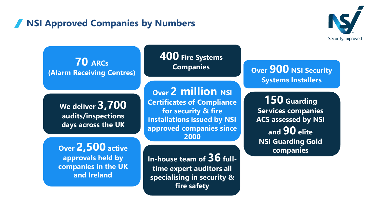#### **NSI Approved Companies by Numbers**



**70 ARCs (Alarm Receiving Centres)**

> **We deliver 3,700 audits/inspections days across the UK**

**Over 2,500 active approvals held by companies in the UK and Ireland**

**400 Fire Systems Companies**

**Over 2 million NSI Certificates of Compliance for security & fire installations issued by NSI approved companies since 2000**

**In-house team of 36 fulltime expert auditors all specialising in security & fire safety** 

**Over 900 NSI Security Systems Installers**

**150 Guarding Services companies ACS assessed by NSI and 90 elite NSI Guarding Gold companies**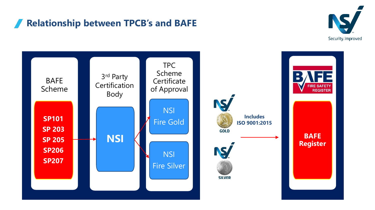#### **Relationship between TPCB's and BAFE**



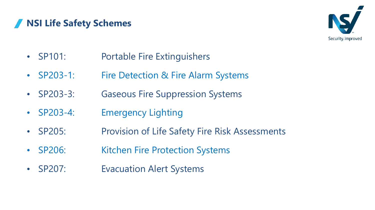#### **NSI Life Safety Schemes**



- SP101: Portable Fire Extinguishers
- SP203-1: Fire Detection & Fire Alarm Systems
- SP203-3: Gaseous Fire Suppression Systems
- SP203-4: Emergency Lighting
- SP205: Provision of Life Safety Fire Risk Assessments
- SP206: Kitchen Fire Protection Systems
- SP207: Evacuation Alert Systems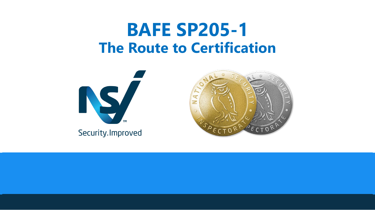## **BAFE SP205-1 The Route to Certification**



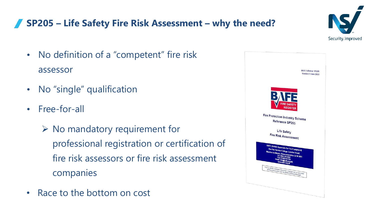

#### **SP205 – Life Safety Fire Risk Assessment – why the need?**

- No definition of a "competent" fire risk assessor
- No "single" qualification
- Free-for-all
	- ➢ No mandatory requirement for professional registration or certification of fire risk assessors or fire risk assessment companies
- Race to the bottom on cost

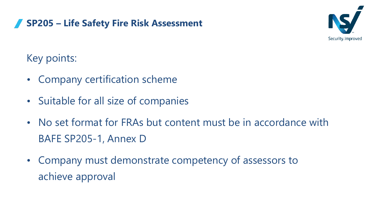

Key points:

- Company certification scheme
- Suitable for all size of companies

**SP205 – Life Safety Fire Risk Assessment**

- No set format for FRAs but content must be in accordance with BAFE SP205-1, Annex D
- Company must demonstrate competency of assessors to achieve approval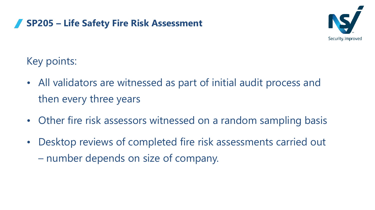#### **SP205 – Life Safety Fire Risk Assessment**



Key points:

- All validators are witnessed as part of initial audit process and then every three years
- Other fire risk assessors witnessed on a random sampling basis
- Desktop reviews of completed fire risk assessments carried out – number depends on size of company.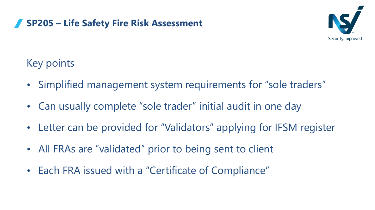

#### **SP205 – Life Safety Fire Risk Assessment**

#### Key points

- Simplified management system requirements for "sole traders"
- Can usually complete "sole trader" initial audit in one day
- Letter can be provided for "Validators" applying for IFSM register
- All FRAs are "validated" prior to being sent to client
- Each FRA issued with a "Certificate of Compliance"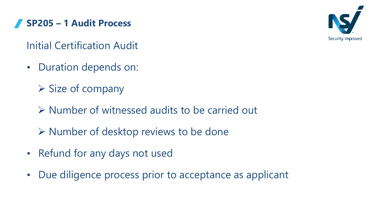**SP205 – 1 Audit Process**



Initial Certification Audit

- Duration depends on:
	- $\triangleright$  Size of company
	- ➢ Number of witnessed audits to be carried out
	- ➢ Number of desktop reviews to be done
- Refund for any days not used
- Due diligence process prior to acceptance as applicant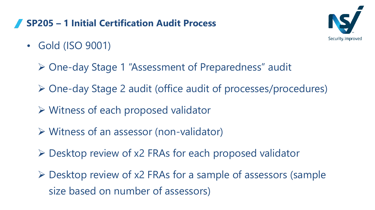#### **SP205 – 1 Initial Certification Audit Process**



- Gold (ISO 9001)
	- ➢ One-day Stage 1 "Assessment of Preparedness" audit
	- ➢ One-day Stage 2 audit (office audit of processes/procedures)
	- ➢ Witness of each proposed validator
	- ➢ Witness of an assessor (non-validator)
	- ➢ Desktop review of x2 FRAs for each proposed validator
	- ➢ Desktop review of x2 FRAs for a sample of assessors (sample size based on number of assessors)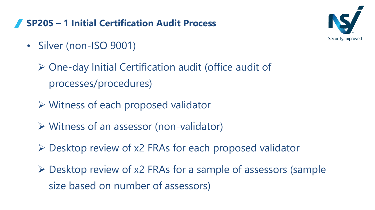#### **SP205 – 1 Initial Certification Audit Process**

- Silver (non-ISO 9001)
	- ➢ One-day Initial Certification audit (office audit of processes/procedures)
	- ➢ Witness of each proposed validator
	- ➢ Witness of an assessor (non-validator)
	- ➢ Desktop review of x2 FRAs for each proposed validator
	- ➢ Desktop review of x2 FRAs for a sample of assessors (sample size based on number of assessors)

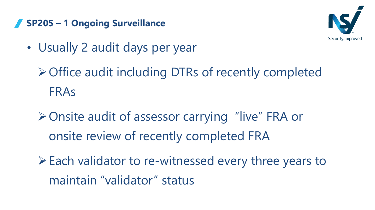#### **SP205 – 1 Ongoing Surveillance**



- Usually 2 audit days per year
	- ➢Office audit including DTRs of recently completed FRAs
	- ➢Onsite audit of assessor carrying "live" FRA or onsite review of recently completed FRA
	- ➢Each validator to re-witnessed every three years to maintain "validator" status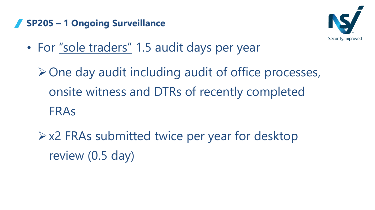#### **SP205 – 1 Ongoing Surveillance**



• For "sole traders" 1.5 audit days per year

 $\triangleright$  One day audit including audit of office processes, onsite witness and DTRs of recently completed FRAs

➢x2 FRAs submitted twice per year for desktop review (0.5 day)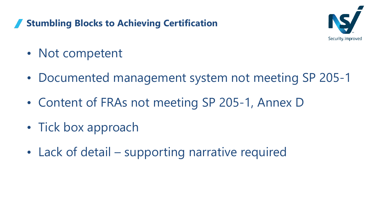#### **Stumbling Blocks to Achieving Certification**



- Not competent
- Documented management system not meeting SP 205-1
- Content of FRAs not meeting SP 205-1, Annex D
- Tick box approach
- Lack of detail supporting narrative required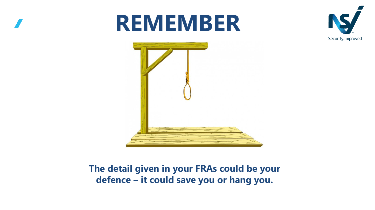# **REMEMBER**





#### **The detail given in your FRAs could be your defence – it could save you or hang you.**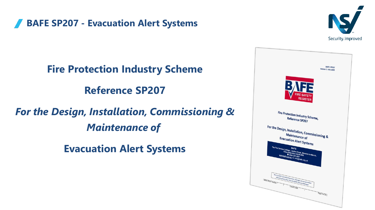**BAFE SP207 - Evacuation Alert Systems**



**Fire Protection Industry Scheme Reference SP207** *For the Design, Installation, Commissioning & Maintenance of*

**Evacuation Alert Systems**

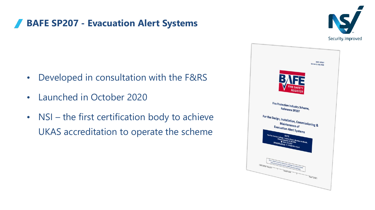#### **BAFE SP207 - Evacuation Alert Systems**

- Developed in consultation with the F&RS
- Launched in October 2020
- NSI the first certification body to achieve UKAS accreditation to operate the scheme



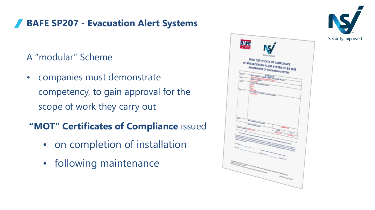#### **BAFE SP207 - Evacuation Alert Systems**

- A "modular" Scheme
- companies must demonstrate competency, to gain approval for the scope of work they carry out
- **"MOT" Certificates of Compliance** issued
	- on completion of installation
	- following maintenance



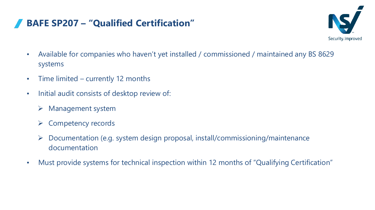#### **BAFE SP207 – "Qualified Certification"**



- Available for companies who haven't yet installed / commissioned / maintained any BS 8629 systems
- Time limited currently 12 months
- Initial audit consists of desktop review of:
	- $\triangleright$  Management system
	- ➢ Competency records
	- ➢ Documentation (e.g. system design proposal, install/commissioning/maintenance documentation
- Must provide systems for technical inspection within 12 months of "Qualifying Certification"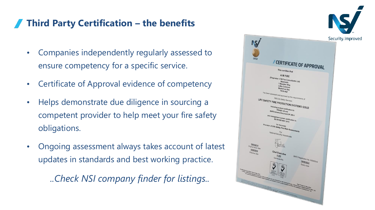#### **Third Party Certification – the benefits**

- Companies independently regularly assessed to ensure competency for a specific service.
- Certificate of Approval evidence of competency
- Helps demonstrate due diligence in sourcing a competent provider to help meet your fire safety obligations.
- Ongoing assessment always takes account of latest updates in standards and best working practice.

*..Check NSI company finder for listings..*

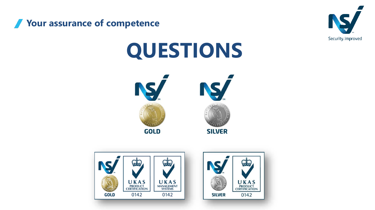



# **QUESTIONS**